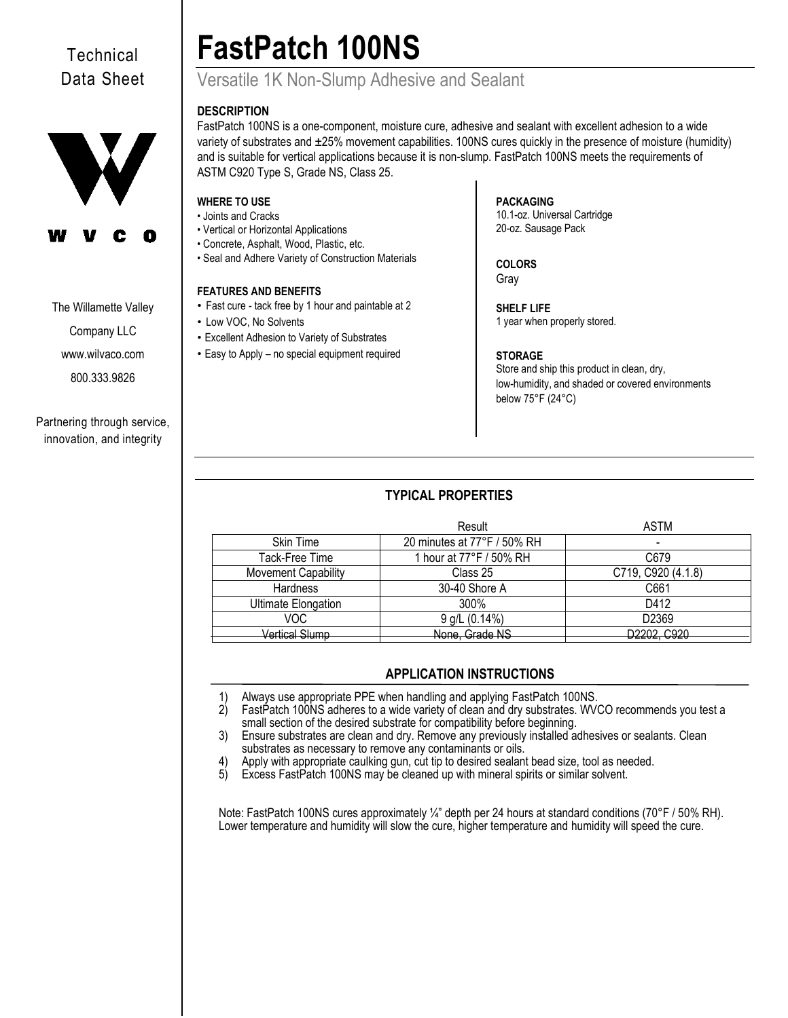# **Technical** Data Sheet



## The Willamette Valley

Company LLC

[www.wilvaco.com](http://www.wilvaco.com/) 

800.333.9826

Partnering through service, innovation, and integrity

# **FastPatch 100NS**

# Versatile 1K Non-Slump Adhesive and Sealant

# **DESCRIPTION**

FastPatch 100NS is a one-component, moisture cure, adhesive and sealant with excellent adhesion to a wide variety of substrates and ±25% movement capabilities. 100NS cures quickly in the presence of moisture (humidity) and is suitable for vertical applications because it is non-slump. FastPatch 100NS meets the requirements of ASTM C920 Type S, Grade NS, Class 25.

# **WHERE TO USE**

- Joints and Cracks
- Vertical or Horizontal Applications
- Concrete, Asphalt, Wood, Plastic, etc.
- Seal and Adhere Variety of Construction Materials

# **FEATURES AND BENEFITS**

- Fast cure tack free by 1 hour and paintable at 2
- Low VOC, No Solvents
- Excellent Adhesion to Variety of Substrates
- Easy to Apply no special equipment required

### **PACKAGING** 10.1-oz. Universal Cartridge 20-oz. Sausage Pack

**COLORS** Gray

**SHELF LIFE** 1 year when properly stored.

## **STORAGE**

Store and ship this product in clean, dry, low-humidity, and shaded or covered environments below 75°F (24°C)

# **TYPICAL PROPERTIES**

|                            | Result                      | ASTM               |
|----------------------------|-----------------------------|--------------------|
| Skin Time                  | 20 minutes at 77°F / 50% RH | -                  |
| Tack-Free Time             | 1 hour at 77°F / 50% RH     | C679               |
| Movement Capability        | Class 25                    | C719, C920 (4.1.8) |
| Hardness                   | 30-40 Shore A               | C661               |
| <b>Ultimate Elongation</b> | 300%                        | D412               |
| VOC                        | 9 g/L (0.14%)               | D2369              |
| <b>Vertical Slump</b>      | None, Grade NS              | D2202, C920        |

# **APPLICATION INSTRUCTIONS**

1) Always use appropriate PPE when handling and applying FastPatch 100NS.<br>2) FastPatch 100NS adheres to a wide variety of clean and dry substrates. WV FastPatch 100NS adheres to a wide variety of clean and dry substrates. WVCO recommends you test a small section of the desired substrate for compatibility before beginning.

3) Ensure substrates are clean and dry. Remove any previously installed adhesives or sealants. Clean substrates as necessary to remove any contaminants or oils.

4) Apply with appropriate caulking gun, cut tip to desired sealant bead size, tool as needed.

5) Excess FastPatch 100NS may be cleaned up with mineral spirits or similar solvent.

Note: FastPatch 100NS cures approximately ¼" depth per 24 hours at standard conditions (70°F / 50% RH). Lower temperature and humidity will slow the cure, higher temperature and humidity will speed the cure.